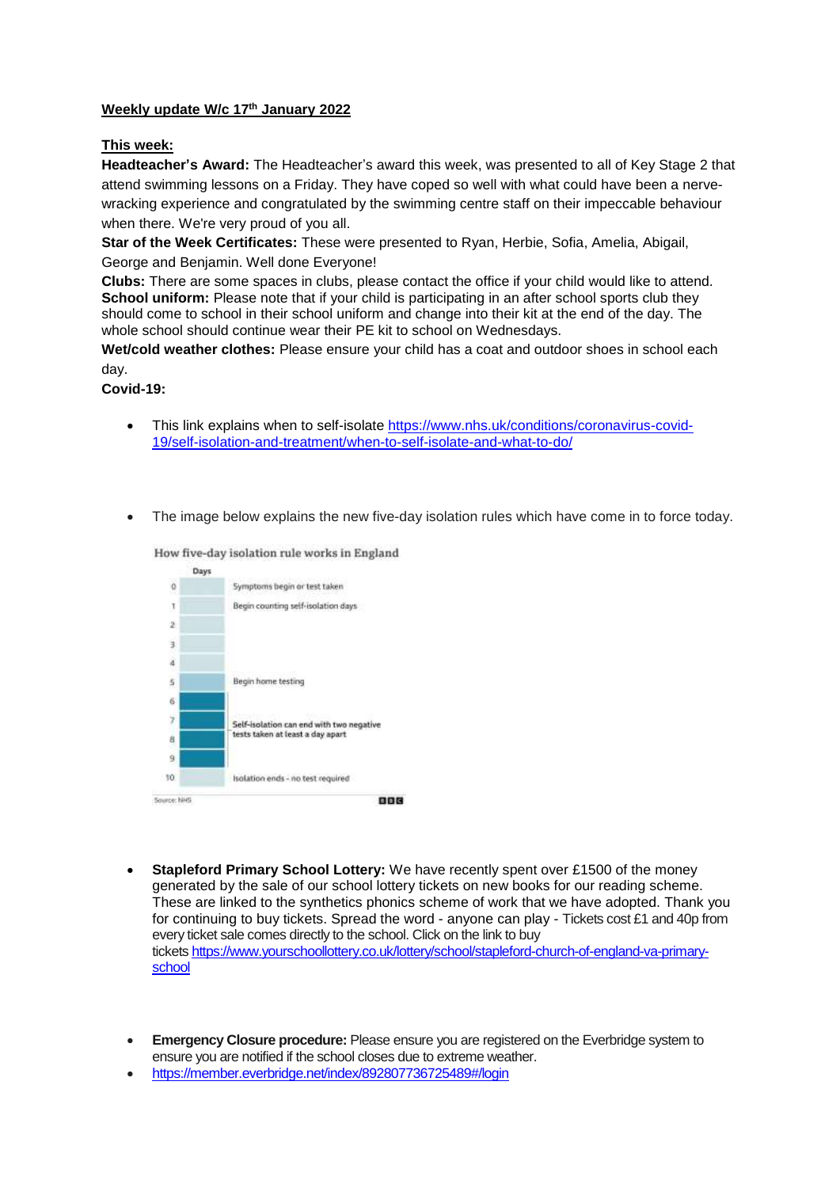## **Weekly update W/c 17th January 2022**

## **This week:**

**Headteacher's Award:** The Headteacher's award this week, was presented to all of Key Stage 2 that attend swimming lessons on a Friday. They have coped so well with what could have been a nervewracking experience and congratulated by the swimming centre staff on their impeccable behaviour when there. We're very proud of you all.

**Star of the Week Certificates:** These were presented to Ryan, Herbie, Sofia, Amelia, Abigail, George and Benjamin. Well done Everyone!

**Clubs:** There are some spaces in clubs, please contact the office if your child would like to attend. **School uniform:** Please note that if your child is participating in an after school sports club they should come to school in their school uniform and change into their kit at the end of the day. The whole school should continue wear their PE kit to school on Wednesdays.

**Wet/cold weather clothes:** Please ensure your child has a coat and outdoor shoes in school each day.

**Covid-19:** 

- This link explains when to self-isolate [https://www.nhs.uk/conditions/coronavirus-covid-](https://www.nhs.uk/conditions/coronavirus-covid-19/self-isolation-and-treatment/when-to-self-isolate-and-what-to-do/)[19/self-isolation-and-treatment/when-to-self-isolate-and-what-to-do/](https://www.nhs.uk/conditions/coronavirus-covid-19/self-isolation-and-treatment/when-to-self-isolate-and-what-to-do/)
- The image below explains the new five-day isolation rules which have come in to force today.



How five-day isolation rule works in England

- **Stapleford Primary School Lottery:** We have recently spent over £1500 of the money generated by the sale of our school lottery tickets on new books for our reading scheme. These are linked to the synthetics phonics scheme of work that we have adopted. Thank you for continuing to buy tickets. Spread the word - anyone can play - Tickets cost £1 and 40p from every ticket sale comes directly to the school. Click on the link to buy tickets [https://www.yourschoollottery.co.uk/lottery/school/stapleford-church-of-england-va-primary](https://www.yourschoollottery.co.uk/lottery/school/stapleford-church-of-england-va-primary-school)[school](https://www.yourschoollottery.co.uk/lottery/school/stapleford-church-of-england-va-primary-school)
- **Emergency Closure procedure:** Please ensure you are registered on the Everbridge system to ensure you are notified if the school closes due to extreme weather.
- <https://member.everbridge.net/index/892807736725489#/login>